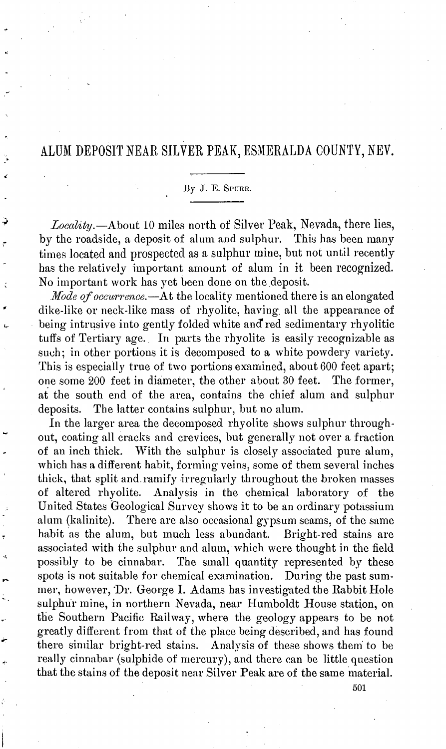## ALUM DEPOSIT NEAR SILVER PEAK, ESMERALDA COUNTY, NEV.

## By J. E. SPURR.

*Locality.-About* 10 miles north of Silver Peak, Nevada, there lies, by the roadside, a deposit of alum and sulphur. This has been many times located and prospected as a sulphur mine, but not until recently has the relatively important amount of alum in it been recognized. No important work has yet been done on the deposit.

,-

Iv

*Mode of occurrence*.—At the locality mentioned there is an elongated dike-like or neck-like mass of rhyolite, having. all the appearance of being intrusive into gently folded white and'red sedimentary rhyolitic tuffs of Tertiary age. In parts the rhyolite is easily recognizable as such; in other portions it is decomposed to a white powdery variety. This is especially true of two portions examined, about 600 feet apart; one some 200 feet in diameter, the other about 30 feet. The former, at the south end of the area, contains the chief alum and sulphur deposits. The latter contains sulphur, but no alum.

In the larger area the decomposed rhyolite shows sulphur throughout, coating all cracks and crevices, hut generally not over a fraction of an inch thick. With the sulphur is closely associated pure alum, which has a different habit, forming veins, some of them several inches thick, that split and ramify irregularly throughout the broken masses of altered rhyolite. Analysis in the chemical laboratory of the United States Geological Survey shows it to be an ordinary potassium alum (kalinite). There are also oceasional gypsum seams, of the same habit as the alum, but much less abundant. Bright-red stains are associated with the sulphur and alum,' which were thought in the field possibly to be cinnabar. The small quantity represented by these spots is not suitable for chemical examination. During the past summer, however, 'Dr. George I. Adams has investigated the Rabbit Hole sulphur mine, in northern Nevada, near Humboldt House station, on the Southern Pacific Railway, where the geology appears to be not greatly different from that of the place being described, and has found there similar bright-red stains. Analysis of these shows them' to be really cinnabar (sulphide of mercury), and there can be little question that the stains of the deposit near Silver Peak are of the same material.

501